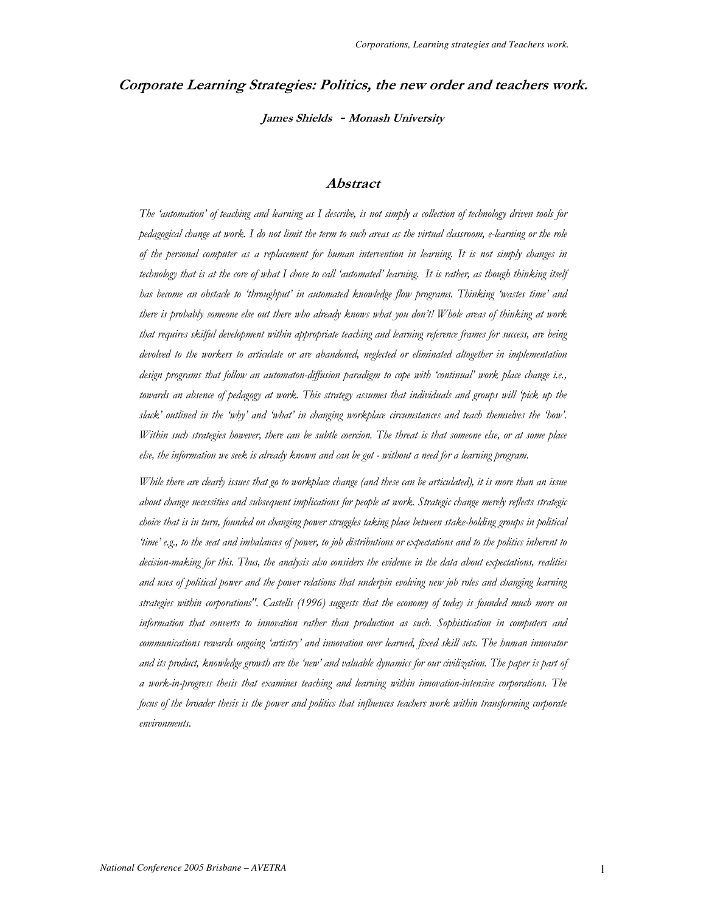# Corporate Learning Strategies: Politics, the new order and teachers work. James Shields - Monash University

## **Abstract**

The 'automation' of teaching and learning as I describe, is not simply a collection of technology driven tools for pedagogical change at work. I do not limit the term to such areas as the virtual classroom, e-learning or the role of the personal computer as a replacement for human intervention in learning. It is not simply changes in technology that is at the core of what I chose to call 'automated' learning. It is rather, as though thinking itself has become an obstacle to 'throughput' in automated knowledge flow programs. Thinking 'wastes time' and there is probably someone else out there who already knows what you don't! Whole areas of thinking at work that requires skilful development within appropriate teaching and learning reference frames for success, are being devolved to the workers to articulate or are abandoned, neglected or eliminated altogether in implementation design programs that follow an automaton-diffusion paradigm to cope with 'continual' work place change i.e., towards an absence of pedagogy at work. This strategy assumes that individuals and groups will 'pick up the slack' outlined in the 'why' and 'what' in changing workplace circumstances and teach themselves the 'how'. Within such strategies however, there can be subtle coercion. The threat is that someone else, or at some place else, the information we seek is already known and can be got - without a need for a learning program.

While there are clearly issues that go to workplace change (and these can be articulated), it is more than an issue about change necessities and subsequent implications for people at work. Strategic change merely reflects strategic choice that is in turn, founded on changing power struggles taking place between stake-holding groups in political 'time' e.g., to the seat and imbalances of power, to job distributions or expectations and to the politics inherent to decision-making for this. Thus, the analysis also considers the evidence in the data about expectations, realities and uses of political power and the power relations that underpin evolving new job roles and changing learning strategies within corporations". Castells (1996) suggests that the economy of today is founded much more on information that converts to innovation rather than production as such. Sophistication in computers and communications rewards ongoing 'artistry' and innovation over learned, fixed skill sets. The human innovator and its product, knowledge growth are the 'new' and valuable dynamics for our civilization. The paper is part of a work-in-progress thesis that examines teaching and learning within innovation-intensive corporations. The focus of the broader thesis is the power and politics that influences teachers work within transforming corporate environments.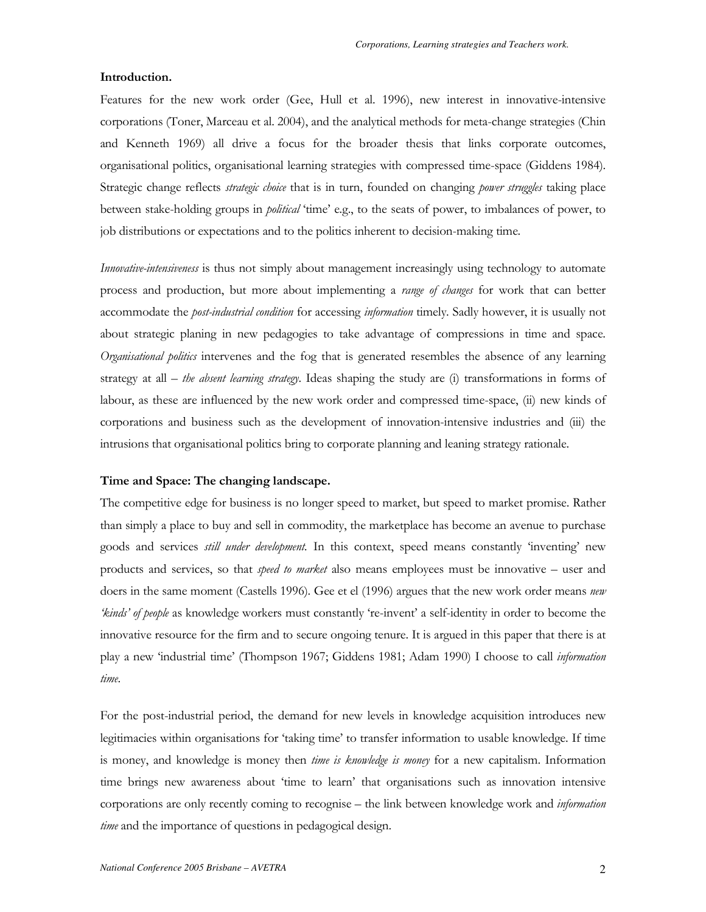#### Introduction.

Features for the new work order (Gee, Hull et al. 1996), new interest in innovative-intensive corporations (Toner, Marceau et al. 2004), and the analytical methods for meta-change strategies (Chin and Kenneth 1969) all drive a focus for the broader thesis that links corporate outcomes, organisational politics, organisational learning strategies with compressed time-space (Giddens 1984). Strategic change reflects *strategic choice* that is in turn, founded on changing *power struggles* taking place between stake-holding groups in *political* 'time' e.g., to the seats of power, to imbalances of power, to job distributions or expectations and to the politics inherent to decision-making time.

*Innovative-intensiveness* is thus not simply about management increasingly using technology to automate process and production, but more about implementing a range of changes for work that can better accommodate the *post-industrial condition* for accessing *information* timely. Sadly however, it is usually not about strategic planing in new pedagogies to take advantage of compressions in time and space. Organisational politics intervenes and the fog that is generated resembles the absence of any learning strategy at all  $-$  the absent learning strategy. Ideas shaping the study are (i) transformations in forms of labour, as these are influenced by the new work order and compressed time-space, (ii) new kinds of corporations and business such as the development of innovation-intensive industries and (iii) the intrusions that organisational politics bring to corporate planning and leaning strategy rationale.

## Time and Space: The changing landscape.

The competitive edge for business is no longer speed to market, but speed to market promise. Rather than simply a place to buy and sell in commodity, the marketplace has become an avenue to purchase goods and services *still under development*. In this context, speed means constantly 'inventing' new products and services, so that *speed to market* also means employees must be innovative – user and doers in the same moment (Castells 1996). Gee et el (1996) argues that the new work order means new 'kinds' of people as knowledge workers must constantly 're-invent' a self-identity in order to become the innovative resource for the firm and to secure ongoing tenure. It is argued in this paper that there is at play a new 'industrial time' (Thompson 1967; Giddens 1981; Adam 1990) I choose to call *information* time.

For the post-industrial period, the demand for new levels in knowledge acquisition introduces new legitimacies within organisations for 'taking time' to transfer information to usable knowledge. If time is money, and knowledge is money then *time is knowledge is money* for a new capitalism. Information time brings new awareness about 'time to learn' that organisations such as innovation intensive corporations are only recently coming to recognise – the link between knowledge work and *information* time and the importance of questions in pedagogical design.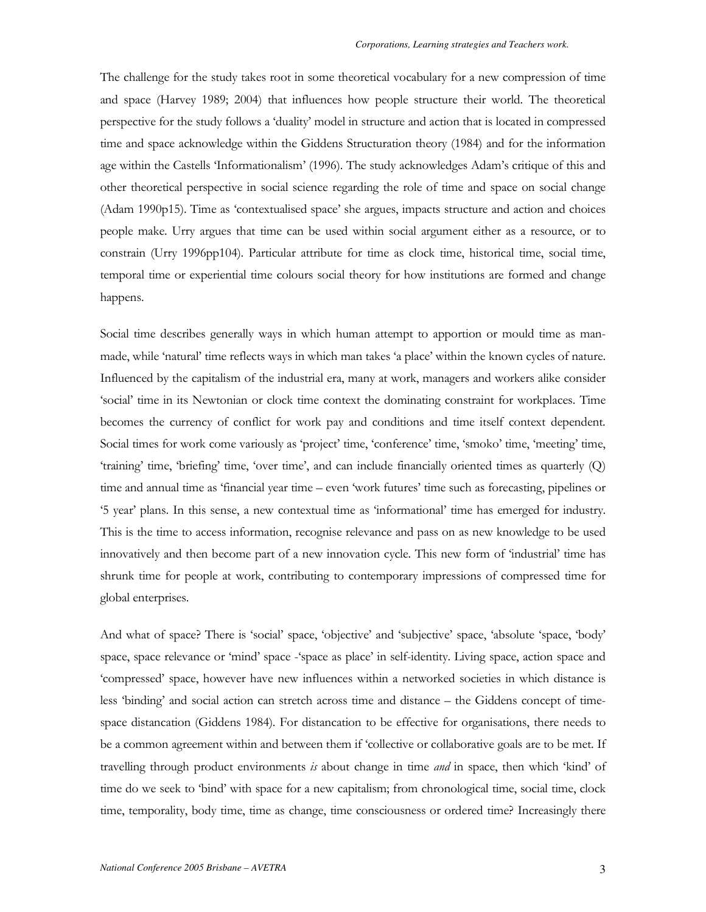The challenge for the study takes root in some theoretical vocabulary for a new compression of time and space (Harvey 1989; 2004) that influences how people structure their world. The theoretical perspective for the study follows a 'duality' model in structure and action that is located in compressed time and space acknowledge within the Giddens Structuration theory (1984) and for the information age within the Castells 'Informationalism' (1996). The study acknowledges Adam's critique of this and other theoretical perspective in social science regarding the role of time and space on social change (Adam 1990p15). Time as 'contextualised space' she argues, impacts structure and action and choices people make. Urry argues that time can be used within social argument either as a resource, or to constrain (Urry 1996pp104). Particular attribute for time as clock time, historical time, social time, temporal time or experiential time colours social theory for how institutions are formed and change happens.

Social time describes generally ways in which human attempt to apportion or mould time as manmade, while 'natural' time reflects ways in which man takes 'a place' within the known cycles of nature. Influenced by the capitalism of the industrial era, many at work, managers and workers alike consider 'social' time in its Newtonian or clock time context the dominating constraint for workplaces. Time becomes the currency of conflict for work pay and conditions and time itself context dependent. Social times for work come variously as 'project' time, 'conference' time, 'smoko' time, 'meeting' time, 'training' time, 'briefing' time, 'over time', and can include financially oriented times as quarterly (Q) time and annual time as 'financial year time – even 'work futures' time such as forecasting, pipelines or "S year' plans. In this sense, a new contextual time as 'informational' time has emerged for industry. This is the time to access information, recognise relevance and pass on as new knowledge to be used innovatively and then become part of a new innovation cycle. This new form of 'industrial' time has shrunk time for people at work, contributing to contemporary impressions of compressed time for global enterprises.

And what of space? There is 'social' space, 'objective' and 'subjective' space, 'absolute 'space, 'body' space, space relevance or 'mind' space - 'space as place' in self-identity. Living space, action space and 'compressed' space, however have new influences within a networked societies in which distance is less 'binding' and social action can stretch across time and distance – the Giddens concept of timespace distancation (Giddens 1984). For distancation to be effective for organisations, there needs to be a common agreement within and between them if 'collective or collaborative goals are to be met. If travelling through product environments is about change in time *and* in space, then which 'kind' of time do we seek to 'bind' with space for a new capitalism; from chronological time, social time, clock time, temporality, body time, time as change, time consciousness or ordered time? Increasingly there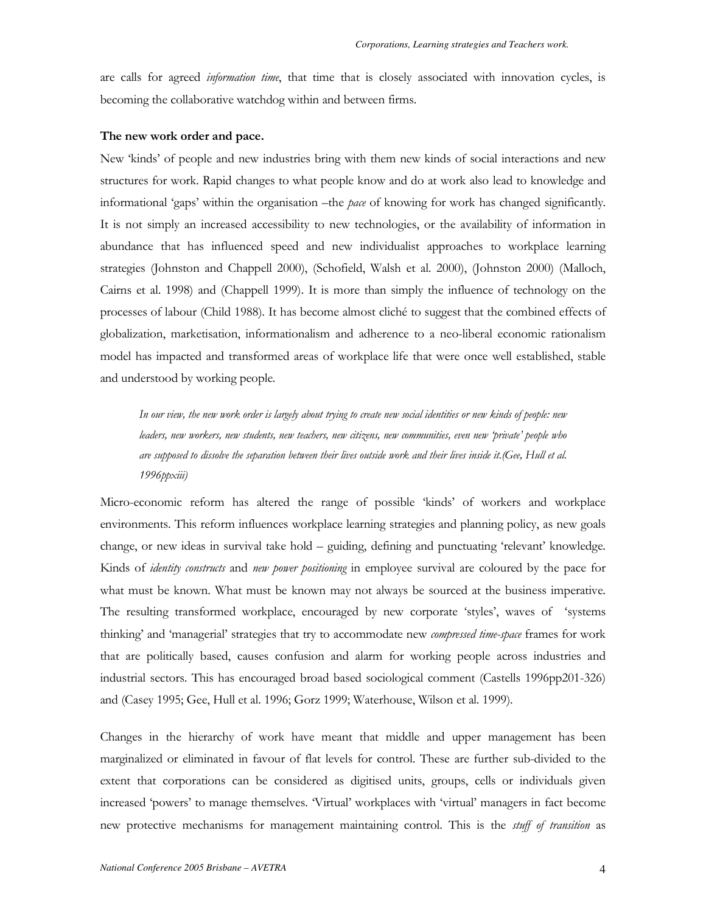are calls for agreed *information time*, that time that is closely associated with innovation cycles, is becoming the collaborative watchdog within and between firms.

#### The new work order and pace.

New 'kinds' of people and new industries bring with them new kinds of social interactions and new structures for work. Rapid changes to what people know and do at work also lead to knowledge and informational 'gaps' within the organisation – the *pace* of knowing for work has changed significantly. It is not simply an increased accessibility to new technologies, or the availability of information in abundance that has influenced speed and new individualist approaches to workplace learning strategies (Johnston and Chappell 2000), (Schofield, Walsh et al. 2000), (Johnston 2000) (Malloch, Cairns et al. 1998) and (Chappell 1999). It is more than simply the influence of technology on the processes of labour (Child 1988). It has become almost cliché to suggest that the combined effects of globalization, marketisation, informationalism and adherence to a neo-liberal economic rationalism model has impacted and transformed areas of workplace life that were once well established, stable and understood by working people.

In our view, the new work order is largely about trying to create new social identities or new kinds of people: new leaders, new workers, new students, new teachers, new citizens, new communities, even new 'private' people who are supposed to dissolve the separation between their lives outside work and their lives inside it. (Gee, Hull et al. 1996ррхііі)

Micro-economic reform has altered the range of possible 'kinds' of workers and workplace environments. This reform influences workplace learning strategies and planning policy, as new goals change, or new ideas in survival take hold – guiding, defining and punctuating 'relevant' knowledge. Kinds of *identity constructs* and *new power positioning* in employee survival are coloured by the pace for what must be known. What must be known may not always be sourced at the business imperative. The resulting transformed workplace, encouraged by new corporate 'styles', waves of 'systems thinking' and 'managerial' strategies that try to accommodate new *compressed time-space* frames for work that are politically based, causes confusion and alarm for working people across industries and industrial sectors. This has encouraged broad based sociological comment (Castells 1996pp201-326) and (Casey 1995; Gee, Hull et al. 1996; Gorz 1999; Waterhouse, Wilson et al. 1999).

Changes in the hierarchy of work have meant that middle and upper management has been marginalized or eliminated in favour of flat levels for control. These are further sub-divided to the extent that corporations can be considered as digitised units, groups, cells or individuals given increased 'powers' to manage themselves. Virtual' workplaces with 'virtual' managers in fact become new protective mechanisms for management maintaining control. This is the *stuff of transition* as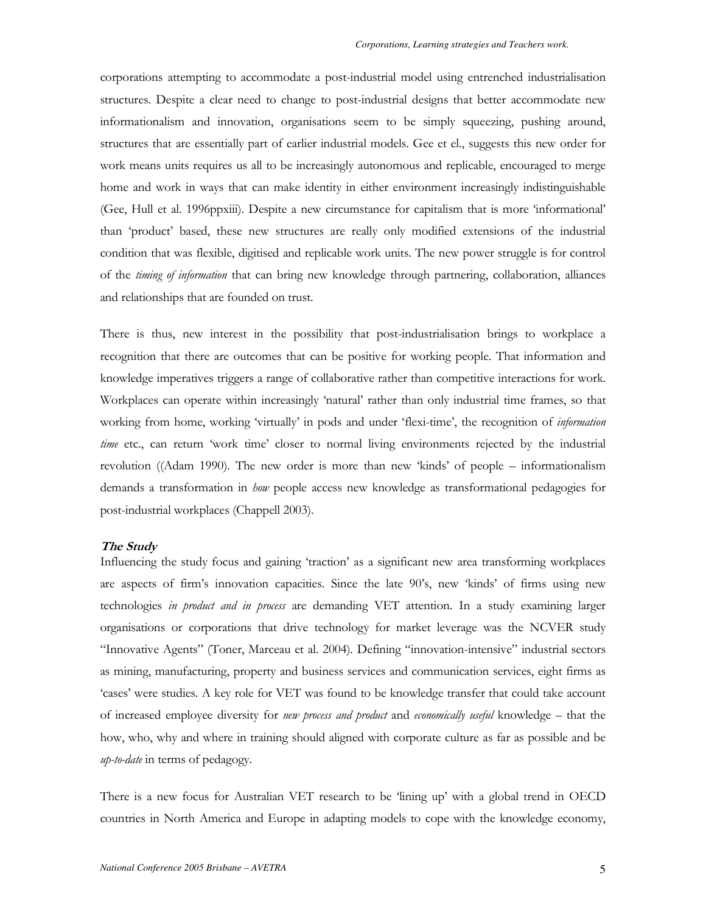corporations attempting to accommodate a post-industrial model using entrenched industrialisation structures. Despite a clear need to change to post-industrial designs that better accommodate new informationalism and innovation, organisations seem to be simply squeezing, pushing around, structures that are essentially part of earlier industrial models. Gee et el., suggests this new order for work means units requires us all to be increasingly autonomous and replicable, encouraged to merge home and work in ways that can make identity in either environment increasingly indistinguishable (Gee, Hull et al. 1996ppxiii). Despite a new circumstance for capitalism that is more 'informational' than 'product' based, these new structures are really only modified extensions of the industrial condition that was flexible, digitised and replicable work units. The new power struggle is for control of the *timing of information* that can bring new knowledge through partnering, collaboration, alliances and relationships that are founded on trust.

There is thus, new interest in the possibility that post-industrialisation brings to workplace a recognition that there are outcomes that can be positive for working people. That information and knowledge imperatives triggers a range of collaborative rather than competitive interactions for work. Workplaces can operate within increasingly 'natural' rather than only industrial time frames, so that working from home, working 'virtually' in pods and under 'flexi-time', the recognition of *information* time etc., can return 'work time' closer to normal living environments rejected by the industrial revolution ((Adam 1990). The new order is more than new 'kinds' of people – informationalism demands a transformation in how people access new knowledge as transformational pedagogies for post-industrial workplaces (Chappell 2003).

#### The Study

Influencing the study focus and gaining 'traction' as a significant new area transforming workplaces are aspects of firm's innovation capacities. Since the late 90's, new 'kinds' of firms using new technologies in product and in process are demanding VET attention. In a study examining larger organisations or corporations that drive technology for market leverage was the NCVER study "Innovative Agents" (Toner, Marceau et al. 2004). Defining "innovation-intensive" industrial sectors as mining, manufacturing, property and business services and communication services, eight firms as 'cases' were studies. A key role for VET was found to be knowledge transfer that could take account of increased employee diversity for new process and product and economically useful knowledge - that the how, who, why and where in training should aligned with corporate culture as far as possible and be up-to-date in terms of pedagogy.

There is a new focus for Australian VET research to be 'lining up' with a global trend in OECD countries in North America and Europe in adapting models to cope with the knowledge economy,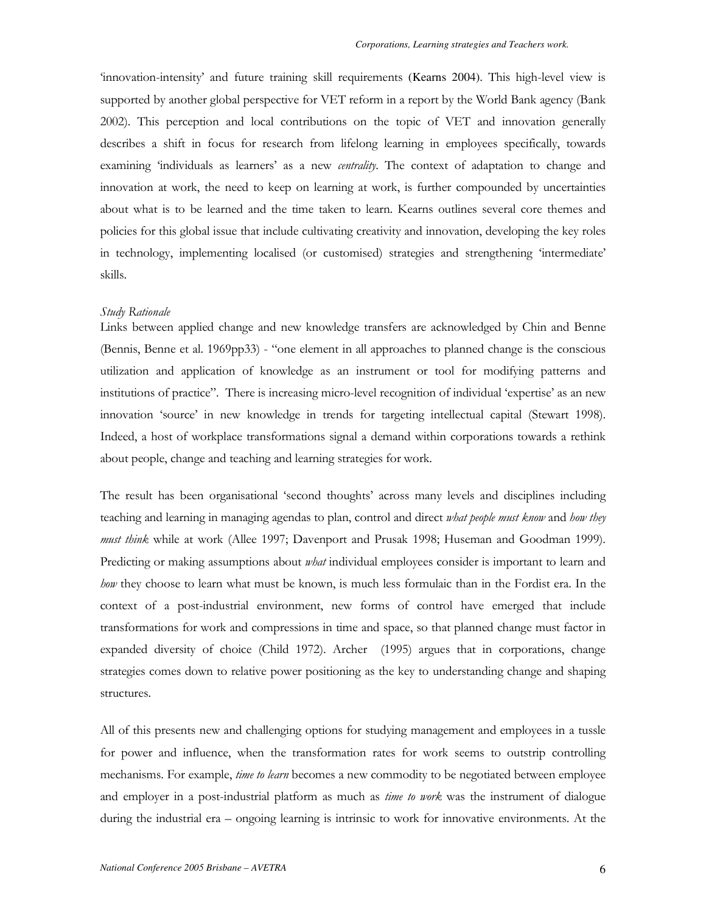'innovation-intensity' and future training skill requirements (Kearns 2004). This high-level view is supported by another global perspective for VET reform in a report by the World Bank agency (Bank 2002). This perception and local contributions on the topic of VET and innovation generally describes a shift in focus for research from lifelong learning in employees specifically, towards examining 'individuals as learners' as a new *centrality*. The context of adaptation to change and innovation at work, the need to keep on learning at work, is further compounded by uncertainties about what is to be learned and the time taken to learn. Kearns outlines several core themes and policies for this global issue that include cultivating creativity and innovation, developing the key roles in technology, implementing localised (or customised) strategies and strengthening 'intermediate' skills.

#### Study Rationale

Links between applied change and new knowledge transfers are acknowledged by Chin and Benne (Bennis, Benne et al. 1969pp33) - "one element in all approaches to planned change is the conscious utilization and application of knowledge as an instrument or tool for modifying patterns and institutions of practice". There is increasing micro-level recognition of individual 'expertise' as an new innovation 'source' in new knowledge in trends for targeting intellectual capital (Stewart 1998). Indeed, a host of workplace transformations signal a demand within corporations towards a rethink about people, change and teaching and learning strategies for work.

The result has been organisational 'second thoughts' across many levels and disciplines including teaching and learning in managing agendas to plan, control and direct what people must know and how they must think while at work (Allee 1997; Davenport and Prusak 1998; Huseman and Goodman 1999). Predicting or making assumptions about *what* individual employees consider is important to learn and how they choose to learn what must be known, is much less formulaic than in the Fordist era. In the context of a post-industrial environment, new forms of control have emerged that include transformations for work and compressions in time and space, so that planned change must factor in expanded diversity of choice (Child 1972). Archer (1995) argues that in corporations, change strategies comes down to relative power positioning as the key to understanding change and shaping structures.

All of this presents new and challenging options for studying management and employees in a tussle for power and influence, when the transformation rates for work seems to outstrip controlling mechanisms. For example, *time to learn* becomes a new commodity to be negotiated between employee and employer in a post-industrial platform as much as *time to work* was the instrument of dialogue during the industrial era – ongoing learning is intrinsic to work for innovative environments. At the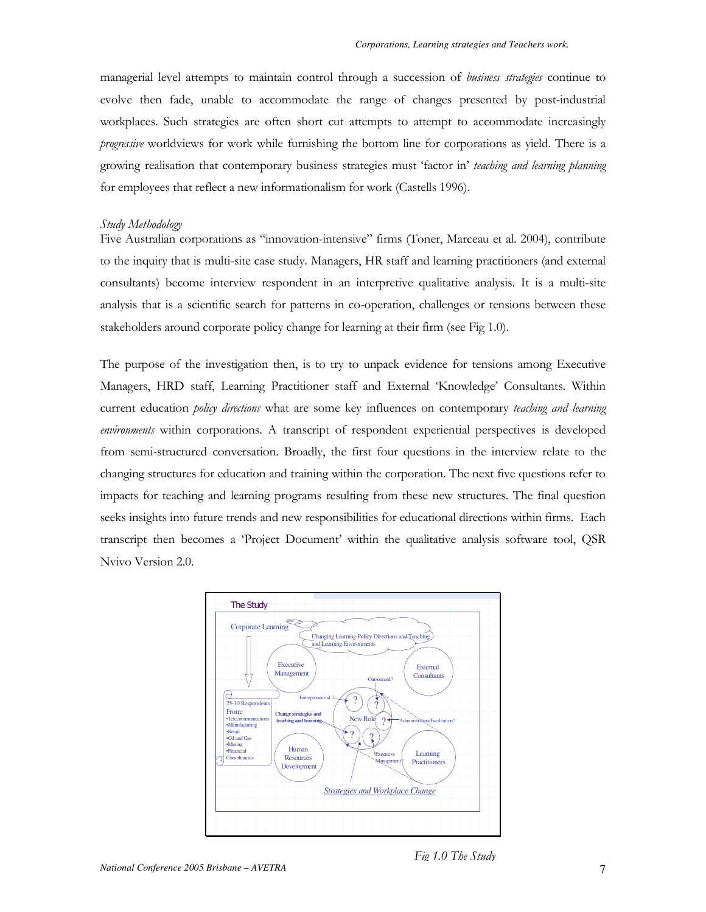managerial level attempts to maintain control through a succession of business strategies continue to evolve then fade, unable to accommodate the range of changes presented by post-industrial workplaces. Such strategies are often short cut attempts to attempt to accommodate increasingly progressive worldviews for work while furnishing the bottom line for corporations as yield. There is a growing realisation that contemporary business strategies must 'factor in' teaching and learning planning for employees that reflect a new informationalism for work (Castells 1996).

### Study Methodology

Five Australian corporations as "innovation-intensive" firms (Toner, Marceau et al. 2004), contribute to the inquiry that is multi-site case study. Managers, HR staff and learning practitioners (and external consultants) become interview respondent in an interpretive qualitative analysis. It is a multi-site analysis that is a scientific search for patterns in co-operation, challenges or tensions between these stakeholders around corporate policy change for learning at their firm (see Fig 1.0).

The purpose of the investigation then, is to try to unpack evidence for tensions among Executive Managers, HRD staff, Learning Practitioner staff and External 'Knowledge' Consultants. Within current education policy directions what are some key influences on contemporary teaching and learning environments within corporations. A transcript of respondent experiential perspectives is developed from semi-structured conversation. Broadly, the first four questions in the interview relate to the changing structures for education and training within the corporation. The next five questions refer to impacts for teaching and learning programs resulting from these new structures. The final question seeks insights into future trends and new responsibilities for educational directions within firms. Each transcript then becomes a 'Project Document' within the qualitative analysis software tool, QSR Nvivo Version 2.0.



Fig 1.0 The Study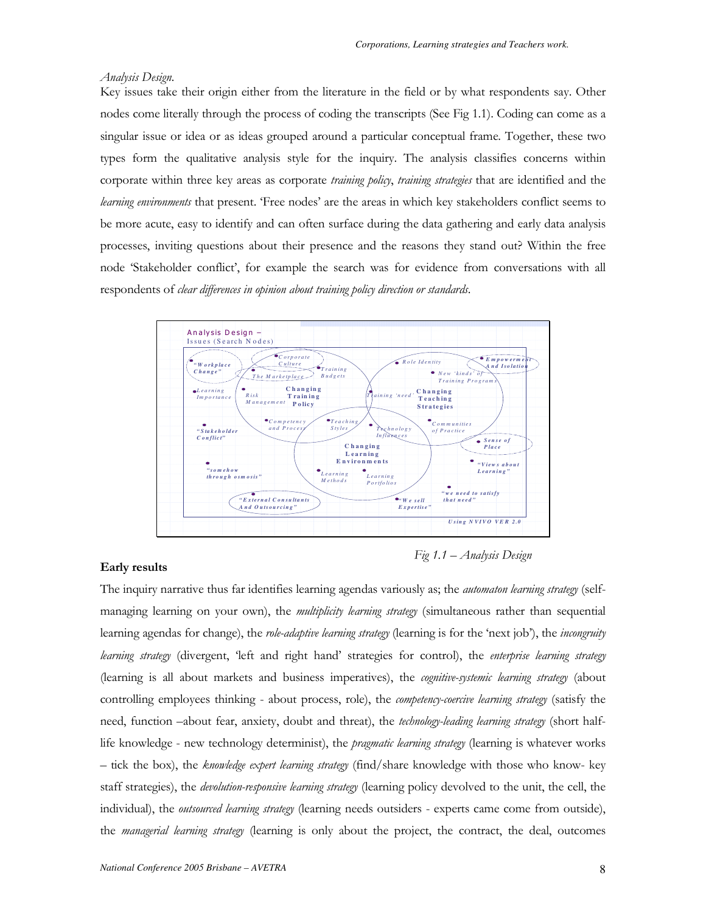#### Analysis Design.

Key issues take their origin either from the literature in the field or by what respondents say. Other nodes come literally through the process of coding the transcripts (See Fig 1.1). Coding can come as a singular issue or idea or as ideas grouped around a particular conceptual frame. Together, these two types form the qualitative analysis style for the inquiry. The analysis classifies concerns within corporate within three key areas as corporate training policy, training strategies that are identified and the learning environments that present. 'Free nodes' are the areas in which key stakeholders conflict seems to be more acute, easy to identify and can often surface during the data gathering and early data analysis processes, inviting questions about their presence and the reasons they stand out? Within the free node 'Stakeholder conflict', for example the search was for evidence from conversations with all respondents of clear differences in opinion about training policy direction or standards.



#### Early results

Fig  $1.1 -$  Analysis Design

The inquiry narrative thus far identifies learning agendas variously as; the *automaton learning strategy* (selfmanaging learning on your own), the *multiplicity learning strategy* (simultaneous rather than sequential learning agendas for change), the role-adaptive learning strategy (learning is for the 'next job'), the incongruity learning strategy (divergent, 'left and right hand' strategies for control), the enterprise learning strategy (learning is all about markets and business imperatives), the cognitive-systemic learning strategy (about controlling employees thinking - about process, role), the competency-coercive learning strategy (satisfy the need, function -about fear, anxiety, doubt and threat), the technology-leading learning strategy (short halflife knowledge - new technology determinist), the *pragmatic learning strategy* (learning is whatever works - tick the box), the knowledge expert learning strategy (find/share knowledge with those who know- key staff strategies), the *devolution-responsive learning strategy* (learning policy devolved to the unit, the cell, the individual), the outsourced learning strategy (learning needs outsiders - experts came come from outside), the managerial learning strategy (learning is only about the project, the contract, the deal, outcomes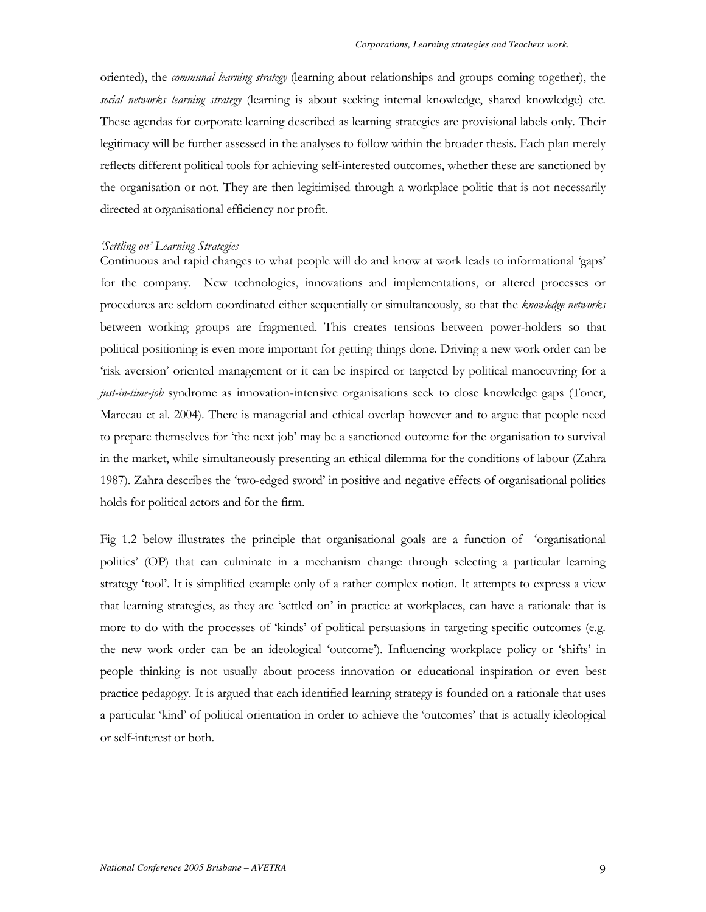oriented), the *communal learning strategy* (learning about relationships and groups coming together), the social networks learning strategy (learning is about seeking internal knowledge, shared knowledge) etc. These agendas for corporate learning described as learning strategies are provisional labels only. Their legitimacy will be further assessed in the analyses to follow within the broader thesis. Each plan merely reflects different political tools for achieving self-interested outcomes, whether these are sanctioned by the organisation or not. They are then legitimised through a workplace politic that is not necessarily directed at organisational efficiency nor profit.

#### 'Settling on' Learning Strategies

Continuous and rapid changes to what people will do and know at work leads to informational 'gaps' for the company. New technologies, innovations and implementations, or altered processes or procedures are seldom coordinated either sequentially or simultaneously, so that the knowledge networks between working groups are fragmented. This creates tensions between power-holders so that political positioning is even more important for getting things done. Driving a new work order can be 'risk aversion' oriented management or it can be inspired or targeted by political manoeuvring for a just-in-time-job syndrome as innovation-intensive organisations seek to close knowledge gaps (Toner, Marceau et al. 2004). There is managerial and ethical overlap however and to argue that people need to prepare themselves for 'the next job' may be a sanctioned outcome for the organisation to survival in the market, while simultaneously presenting an ethical dilemma for the conditions of labour (Zahra 1987). Zahra describes the 'two-edged sword' in positive and negative effects of organisational politics holds for political actors and for the firm.

Fig 1.2 below illustrates the principle that organisational goals are a function of 'organisational politics' (OP) that can culminate in a mechanism change through selecting a particular learning strategy 'tool'. It is simplified example only of a rather complex notion. It attempts to express a view that learning strategies, as they are 'settled on' in practice at workplaces, can have a rationale that is more to do with the processes of 'kinds' of political persuasions in targeting specific outcomes (e.g. the new work order can be an ideological 'outcome'). Influencing workplace policy or 'shifts' in people thinking is not usually about process innovation or educational inspiration or even best practice pedagogy. It is argued that each identified learning strategy is founded on a rationale that uses a particular 'kind' of political orientation in order to achieve the 'outcomes' that is actually ideological or self-interest or both.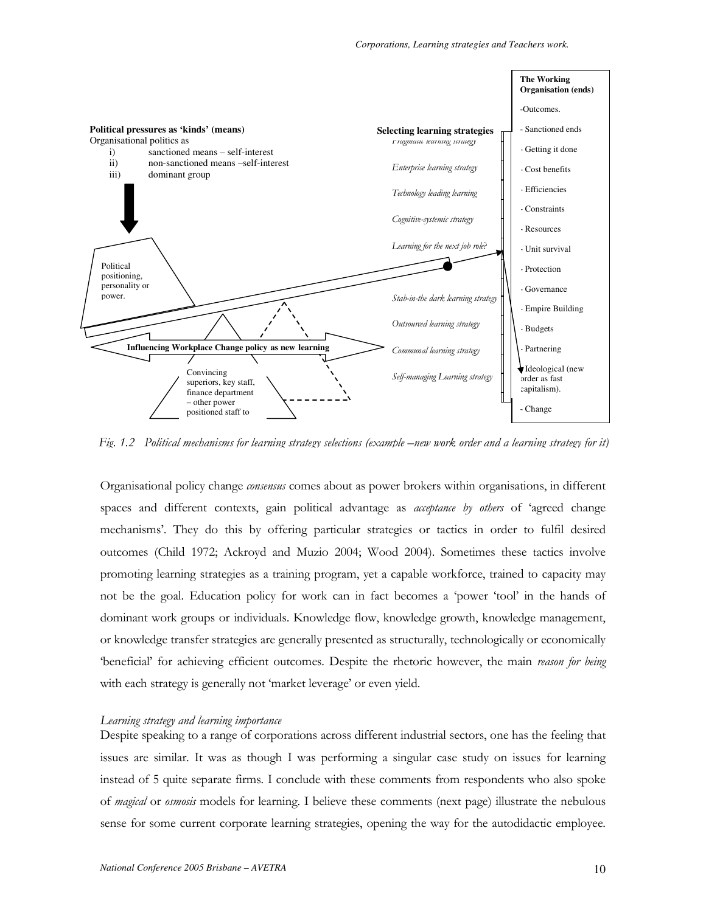

Fig. 1.2 Political mechanisms for learning strategy selections (example –new work order and a learning strategy for it)

Organisational policy change *consensus* comes about as power brokers within organisations, in different spaces and different contexts, gain political advantage as *acceptance by others* of 'agreed change mechanisms'. They do this by offering particular strategies or tactics in order to fulfil desired outcomes (Child 1972; Ackroyd and Muzio 2004; Wood 2004). Sometimes these tactics involve promoting learning strategies as a training program, yet a capable workforce, trained to capacity may not be the goal. Education policy for work can in fact becomes a 'power 'tool' in the hands of dominant work groups or individuals. Knowledge flow, knowledge growth, knowledge management, or knowledge transfer strategies are generally presented as structurally, technologically or economically "beneficial" for achieving efficient outcomes. Despite the rhetoric however, the main reason for being with each strategy is generally not 'market leverage' or even yield.

#### Learning strategy and learning importance

Despite speaking to a range of corporations across different industrial sectors, one has the feeling that issues are similar. It was as though I was performing a singular case study on issues for learning instead of 5 quite separate firms. I conclude with these comments from respondents who also spoke of *magical* or *osmosis* models for learning. I believe these comments (next page) illustrate the nebulous sense for some current corporate learning strategies, opening the way for the autodidactic employee.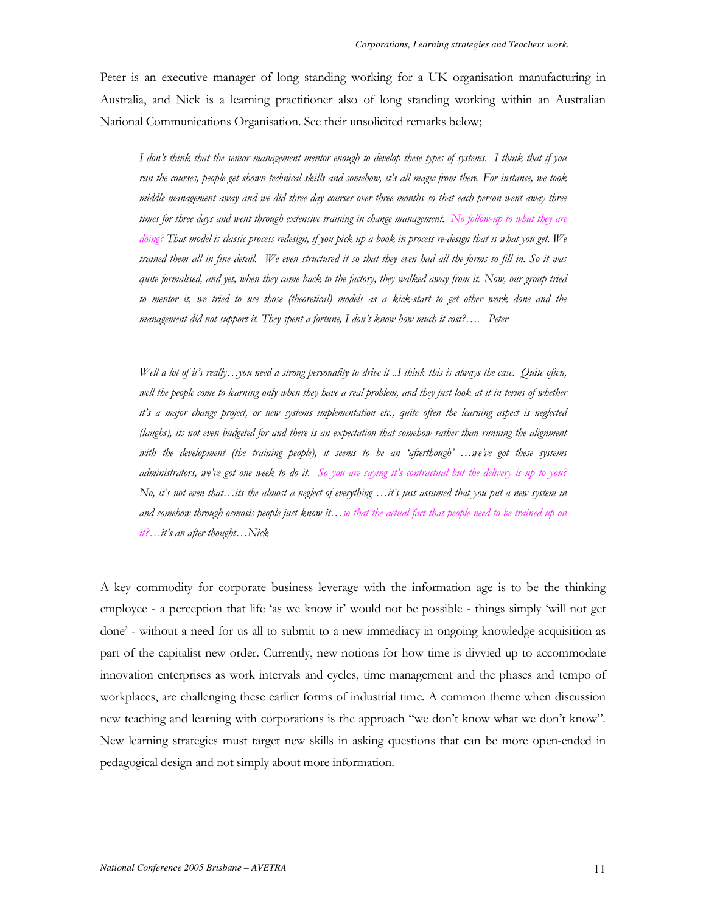Peter is an executive manager of long standing working for a UK organisation manufacturing in Australia, and Nick is a learning practitioner also of long standing working within an Australian National Communications Organisation. See their unsolicited remarks below;

I don't think that the senior management mentor enough to develop these types of systems. I think that if you run the courses, people get shown technical skills and somehow, it's all magic from there. For instance, we took middle management away and we did three day courses over three months so that each person went away three times for three days and went through extensive training in change management. No follow-up to what they are doing? That model is classic process redesign, if you pick up a book in process re-design that is what you get. We trained them all in fine detail. We even structured it so that they even had all the forms to fill in. So it was quite formalised, and yet, when they came back to the factory, they walked away from it. Now, our group tried to mentor it, we tried to use those (theoretical) models as a kick-start to get other work done and the management did not support it. They spent a fortune, I don't know how much it cost?.... Peter

Well a lot of it's really...you need a strong personality to drive it ...I think this is always the case. Quite often, well the people come to learning only when they have a real problem, and they just look at it in terms of whether it's a major change project, or new systems implementation etc., quite often the learning aspect is neglected (laughs), its not even budgeted for and there is an expectation that somehow rather than running the alignment with the development (the training people), it seems to be an 'afterthough' ... we've got these systems administrators, we've got one week to do it. So you are saying it's contractual but the delivery is up to you? No, it's not even that...its the almost a neglect of everything ...it's just assumed that you put a new system in and somehow through osmosis people just know it...so that the actual fact that people need to be trained up on it?...it's an after thought...Nick

A key commodity for corporate business leverage with the information age is to be the thinking employee - a perception that life 'as we know it' would not be possible - things simply 'will not get done' - without a need for us all to submit to a new immediacy in ongoing knowledge acquisition as part of the capitalist new order. Currently, new notions for how time is divvied up to accommodate innovation enterprises as work intervals and cycles, time management and the phases and tempo of workplaces, are challenging these earlier forms of industrial time. A common theme when discussion new teaching and learning with corporations is the approach "we don't know what we don't know". New learning strategies must target new skills in asking questions that can be more open-ended in pedagogical design and not simply about more information.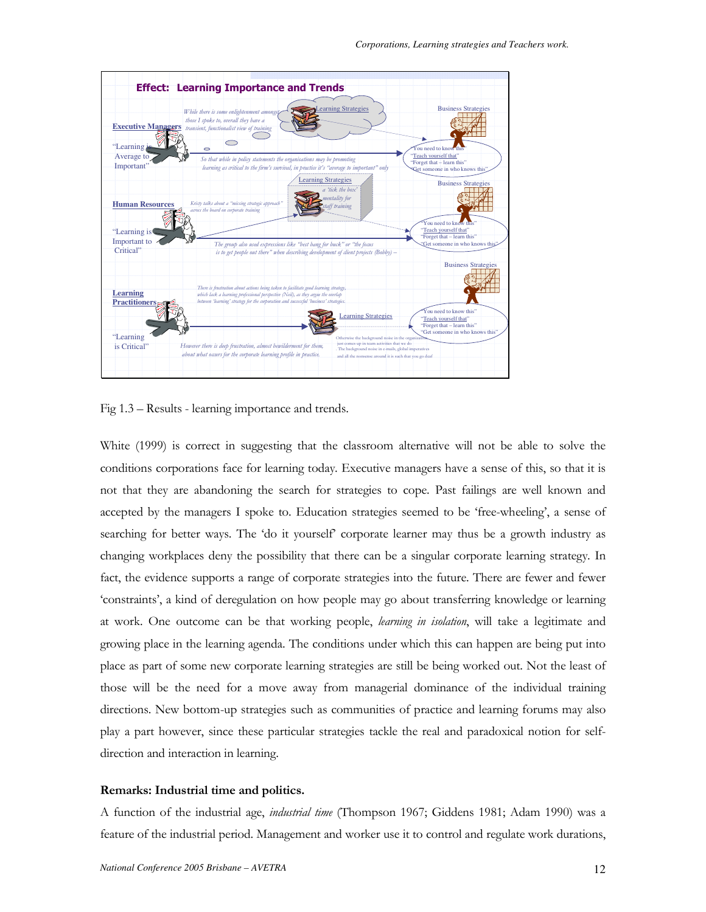

Fig 1.3 – Results - learning importance and trends.

White (1999) is correct in suggesting that the classroom alternative will not be able to solve the conditions corporations face for learning today. Executive managers have a sense of this, so that it is not that they are abandoning the search for strategies to cope. Past failings are well known and accepted by the managers I spoke to. Education strategies seemed to be 'free-wheeling', a sense of searching for better ways. The 'do it yourself' corporate learner may thus be a growth industry as changing workplaces deny the possibility that there can be a singular corporate learning strategy. In fact, the evidence supports a range of corporate strategies into the future. There are fewer and fewer 'constraints', a kind of deregulation on how people may go about transferring knowledge or learning at work. One outcome can be that working people, learning in isolation, will take a legitimate and growing place in the learning agenda. The conditions under which this can happen are being put into place as part of some new corporate learning strategies are still be being worked out. Not the least of those will be the need for a move away from managerial dominance of the individual training directions. New bottom-up strategies such as communities of practice and learning forums may also play a part however, since these particular strategies tackle the real and paradoxical notion for selfdirection and interaction in learning.

## Remarks: Industrial time and politics.

A function of the industrial age, industrial time (Thompson 1967; Giddens 1981; Adam 1990) was a feature of the industrial period. Management and worker use it to control and regulate work durations,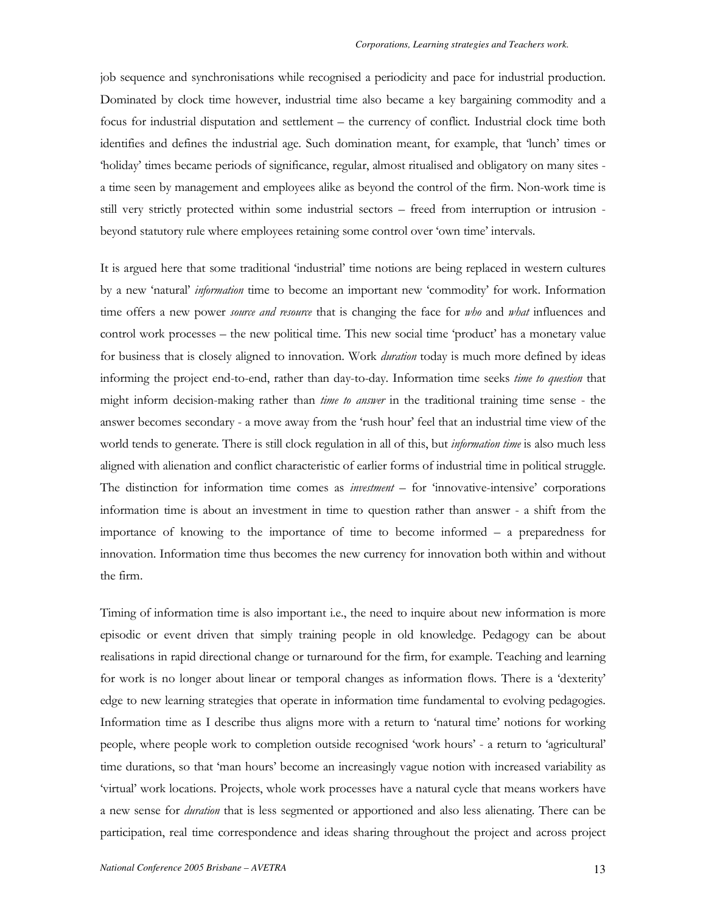job sequence and synchronisations while recognised a periodicity and pace for industrial production. Dominated by clock time however, industrial time also became a key bargaining commodity and a focus for industrial disputation and settlement – the currency of conflict. Industrial clock time both identifies and defines the industrial age. Such domination meant, for example, that 'lunch' times or 'holiday' times became periods of significance, regular, almost ritualised and obligatory on many sites a time seen by management and employees alike as beyond the control of the firm. Non-work time is still very strictly protected within some industrial sectors – freed from interruption or intrusion beyond statutory rule where employees retaining some control over 'own time' intervals.

It is argued here that some traditional 'industrial' time notions are being replaced in western cultures by a new 'natural' *information* time to become an important new 'commodity' for work. Information time offers a new power *source and resource* that is changing the face for *who* and *what* influences and control work processes – the new political time. This new social time 'product' has a monetary value for business that is closely aligned to innovation. Work *duration* today is much more defined by ideas informing the project end-to-end, rather than day-to-day. Information time seeks *time to question* that might inform decision-making rather than *time to answer* in the traditional training time sense - the answer becomes secondary - a move away from the 'rush hour' feel that an industrial time view of the world tends to generate. There is still clock regulation in all of this, but *information time* is also much less aligned with alienation and conflict characteristic of earlier forms of industrial time in political struggle. The distinction for information time comes as *investment* - for 'innovative-intensive' corporations information time is about an investment in time to question rather than answer - a shift from the importance of knowing to the importance of time to become informed  $-$  a preparedness for innovation. Information time thus becomes the new currency for innovation both within and without the firm.

Timing of information time is also important i.e., the need to inquire about new information is more episodic or event driven that simply training people in old knowledge. Pedagogy can be about realisations in rapid directional change or turnaround for the firm, for example. Teaching and learning for work is no longer about linear or temporal changes as information flows. There is a 'dexterity' edge to new learning strategies that operate in information time fundamental to evolving pedagogies. Information time as I describe thus aligns more with a return to 'natural time' notions for working people, where people work to completion outside recognised 'work hours' - a return to 'agricultural' time durations, so that 'man hours' become an increasingly vague notion with increased variability as 'virtual' work locations. Projects, whole work processes have a natural cycle that means workers have a new sense for *duration* that is less segmented or apportioned and also less alienating. There can be participation, real time correspondence and ideas sharing throughout the project and across project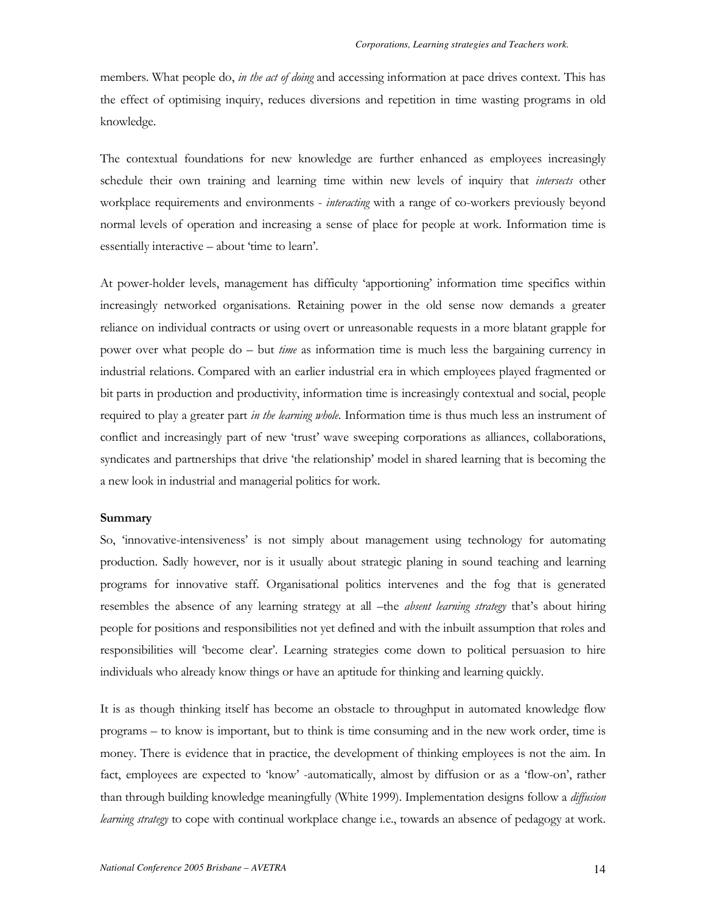members. What people do, in the act of doing and accessing information at pace drives context. This has the effect of optimising inquiry, reduces diversions and repetition in time wasting programs in old knowledge.

The contextual foundations for new knowledge are further enhanced as employees increasingly schedule their own training and learning time within new levels of inquiry that *intersects* other workplace requirements and environments - interacting with a range of co-workers previously beyond normal levels of operation and increasing a sense of place for people at work. Information time is essentially interactive - about 'time to learn'.

At power-holder levels, management has difficulty 'apportioning' information time specifics within increasingly networked organisations. Retaining power in the old sense now demands a greater reliance on individual contracts or using overt or unreasonable requests in a more blatant grapple for power over what people do – but *time* as information time is much less the bargaining currency in industrial relations. Compared with an earlier industrial era in which employees played fragmented or bit parts in production and productivity, information time is increasingly contextual and social, people required to play a greater part in the learning whole. Information time is thus much less an instrument of conflict and increasingly part of new 'trust' wave sweeping corporations as alliances, collaborations, syndicates and partnerships that drive 'the relationship' model in shared learning that is becoming the a new look in industrial and managerial politics for work.

#### Summary

So, 'innovative-intensiveness' is not simply about management using technology for automating production. Sadly however, nor is it usually about strategic planing in sound teaching and learning programs for innovative staff. Organisational politics intervenes and the fog that is generated resembles the absence of any learning strategy at all -the absent learning strategy that's about hiring people for positions and responsibilities not yet defined and with the inbuilt assumption that roles and responsibilities will 'become clear'. Learning strategies come down to political persuasion to hire individuals who already know things or have an aptitude for thinking and learning quickly.

It is as though thinking itself has become an obstacle to throughput in automated knowledge flow programs – to know is important, but to think is time consuming and in the new work order, time is money. There is evidence that in practice, the development of thinking employees is not the aim. In fact, employees are expected to 'know' -automatically, almost by diffusion or as a 'flow-on', rather than through building knowledge meaningfully (White 1999). Implementation designs follow a diffusion learning strategy to cope with continual workplace change i.e., towards an absence of pedagogy at work.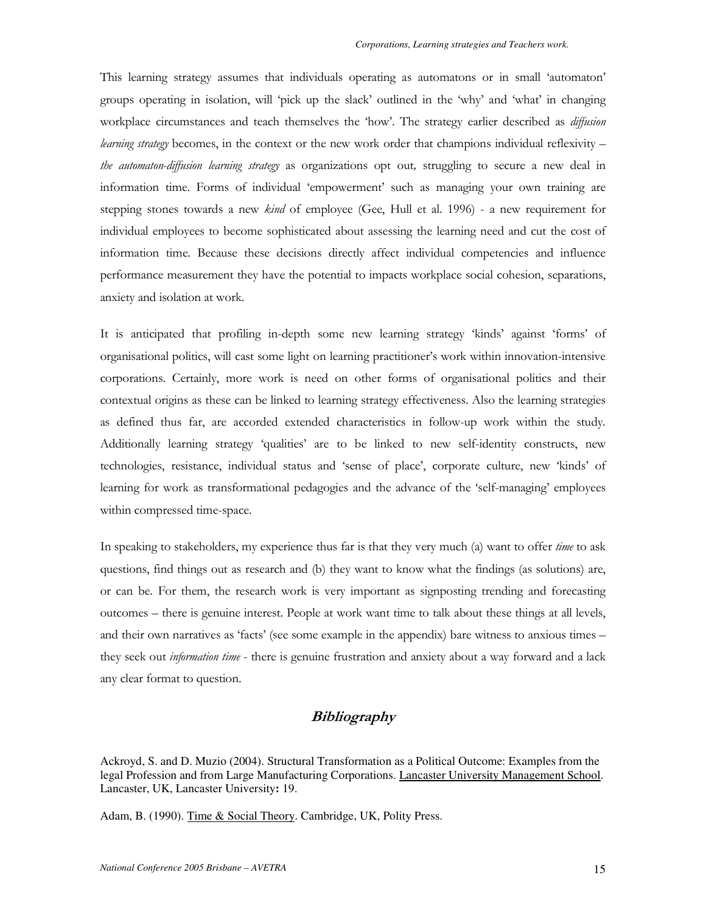This learning strategy assumes that individuals operating as automatons or in small 'automaton' groups operating in isolation, will 'pick up the slack' outlined in the 'why' and 'what' in changing workplace circumstances and teach themselves the 'how'. The strategy earlier described as *diffusion* learning strategy becomes, in the context or the new work order that champions individual reflexivity the automaton-diffusion learning strategy as organizations opt out, struggling to secure a new deal in information time. Forms of individual 'empowerment' such as managing your own training are stepping stones towards a new *kind* of employee (Gee, Hull et al. 1996) - a new requirement for individual employees to become sophisticated about assessing the learning need and cut the cost of information time. Because these decisions directly affect individual competencies and influence performance measurement they have the potential to impacts workplace social cohesion, separations, anxiety and isolation at work.

It is anticipated that profiling in-depth some new learning strategy 'kinds' against 'forms' of organisational politics, will cast some light on learning practitioner's work within innovation-intensive corporations. Certainly, more work is need on other forms of organisational politics and their contextual origins as these can be linked to learning strategy effectiveness. Also the learning strategies as defined thus far, are accorded extended characteristics in follow-up work within the study. Additionally learning strategy 'qualities' are to be linked to new self-identity constructs, new technologies, resistance, individual status and 'sense of place', corporate culture, new 'kinds' of learning for work as transformational pedagogies and the advance of the 'self-managing' employees within compressed time-space.

In speaking to stakeholders, my experience thus far is that they very much (a) want to offer time to ask questions, find things out as research and (b) they want to know what the findings (as solutions) are, or can be. For them, the research work is very important as signposting trending and forecasting outcomes – there is genuine interest. People at work want time to talk about these things at all levels, and their own narratives as 'facts' (see some example in the appendix) bare witness to anxious times they seek out information time - there is genuine frustration and anxiety about a way forward and a lack any clear format to question.

## Bibliography

Ackroyd, S. and D. Muzio (2004). Structural Transformation as a Political Outcome: Examples from the legal Profession and from Large Manufacturing Corporations. Lancaster University Management School. Lancaster, UK, Lancaster University**:** 19.

Adam, B. (1990). Time & Social Theory. Cambridge, UK, Polity Press.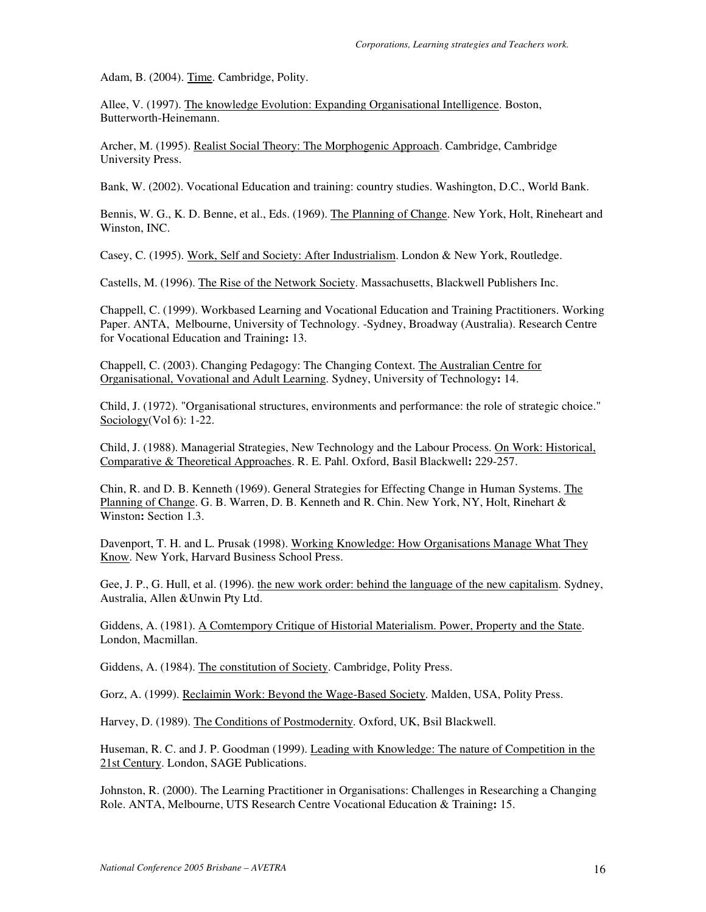Adam, B. (2004). Time. Cambridge, Polity.

Allee, V. (1997). The knowledge Evolution: Expanding Organisational Intelligence. Boston, Butterworth-Heinemann.

Archer, M. (1995). Realist Social Theory: The Morphogenic Approach. Cambridge, Cambridge University Press.

Bank, W. (2002). Vocational Education and training: country studies. Washington, D.C., World Bank.

Bennis, W. G., K. D. Benne, et al., Eds. (1969). The Planning of Change. New York, Holt, Rineheart and Winston, INC.

Casey, C. (1995). Work, Self and Society: After Industrialism. London & New York, Routledge.

Castells, M. (1996). The Rise of the Network Society. Massachusetts, Blackwell Publishers Inc.

Chappell, C. (1999). Workbased Learning and Vocational Education and Training Practitioners. Working Paper. ANTA, Melbourne, University of Technology. -Sydney, Broadway (Australia). Research Centre for Vocational Education and Training**:** 13.

Chappell, C. (2003). Changing Pedagogy: The Changing Context. The Australian Centre for Organisational, Vovational and Adult Learning. Sydney, University of Technology**:** 14.

Child, J. (1972). "Organisational structures, environments and performance: the role of strategic choice." Sociology(Vol 6): 1-22.

Child, J. (1988). Managerial Strategies, New Technology and the Labour Process. On Work: Historical, Comparative & Theoretical Approaches. R. E. Pahl. Oxford, Basil Blackwell**:** 229-257.

Chin, R. and D. B. Kenneth (1969). General Strategies for Effecting Change in Human Systems. The Planning of Change. G. B. Warren, D. B. Kenneth and R. Chin. New York, NY, Holt, Rinehart & Winston**:** Section 1.3.

Davenport, T. H. and L. Prusak (1998). Working Knowledge: How Organisations Manage What They Know. New York, Harvard Business School Press.

Gee, J. P., G. Hull, et al. (1996). the new work order: behind the language of the new capitalism. Sydney, Australia, Allen &Unwin Pty Ltd.

Giddens, A. (1981). A Comtempory Critique of Historial Materialism. Power, Property and the State. London, Macmillan.

Giddens, A. (1984). The constitution of Society. Cambridge, Polity Press.

Gorz, A. (1999). Reclaimin Work: Beyond the Wage-Based Society. Malden, USA, Polity Press.

Harvey, D. (1989). The Conditions of Postmodernity. Oxford, UK, Bsil Blackwell.

Huseman, R. C. and J. P. Goodman (1999). Leading with Knowledge: The nature of Competition in the 21st Century. London, SAGE Publications.

Johnston, R. (2000). The Learning Practitioner in Organisations: Challenges in Researching a Changing Role. ANTA, Melbourne, UTS Research Centre Vocational Education & Training**:** 15.